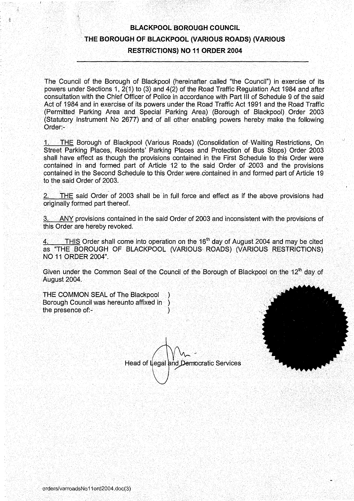## BLACKPOOL BOROUGH COUNCIL THE BOROUGH OF BLACKPOOL (VARIOUS ROADS) (VARIOUS RESTRICTIONS) NO <sup>11</sup> ORDER 2004

The Council of the Borough of Blackpool (hereinafter called "the Council") in exercise of its powers under Sections 1, 2(1) to (3) and 4(2) of the Road Traffic Regulation Act 1984 and after consultation with the Chief Officer of Police in accordance with Part III of Schedule 9 of the said Act of 1984 and in exercise of its powers under the Road Traffic Act 1991 and the Road Traffic (Permitted Parking Area and Special Parking Area) (Borough of Blackpool) Order 2003 (Statutory Instrument No 2677) and of all other enabling powers hereby make the following Order:-

THE Borough of Blackpool (Various Roads) (Consolidation of Waiting Restrictions, On Street Parking Places, Residents' Parking Places and Protection of Bus Stops) Order 2003 shall have effect as though the provisions contained in the First Schedule to this Order were contained in and formed part of Article 12 to the said Order of 2003 and the provisions contained in the Second Schedule to this Order were contained in and formed part of Article 19 to the said Order of 2003.

THE said Order of 2003 shall be in full force and effect as if the above provisions had originally formed part thereof.

<sup>3</sup> . ANY provisions contained in the said Order of 2003 and inconsistent with the provisions of this Order are hereby revoked.

4. THIS Order shall come into operation on the 16<sup>th</sup> day of August 2004 and may be cited as "THE BOROUGH OF BLACKPOOL (VARIOUS ROADS) (VARIOUS RESTRICTIONS) NO <sup>11</sup> ORDER 2004".

Given under the Common Seal of the Council of the Borough of Blackpool on the 12<sup>th</sup> day of August 2004.

THE COMMON SEAL of The Blackpool Borough Council was hereunto affixed in the presence of:-

Head of Legal and Democratic Services